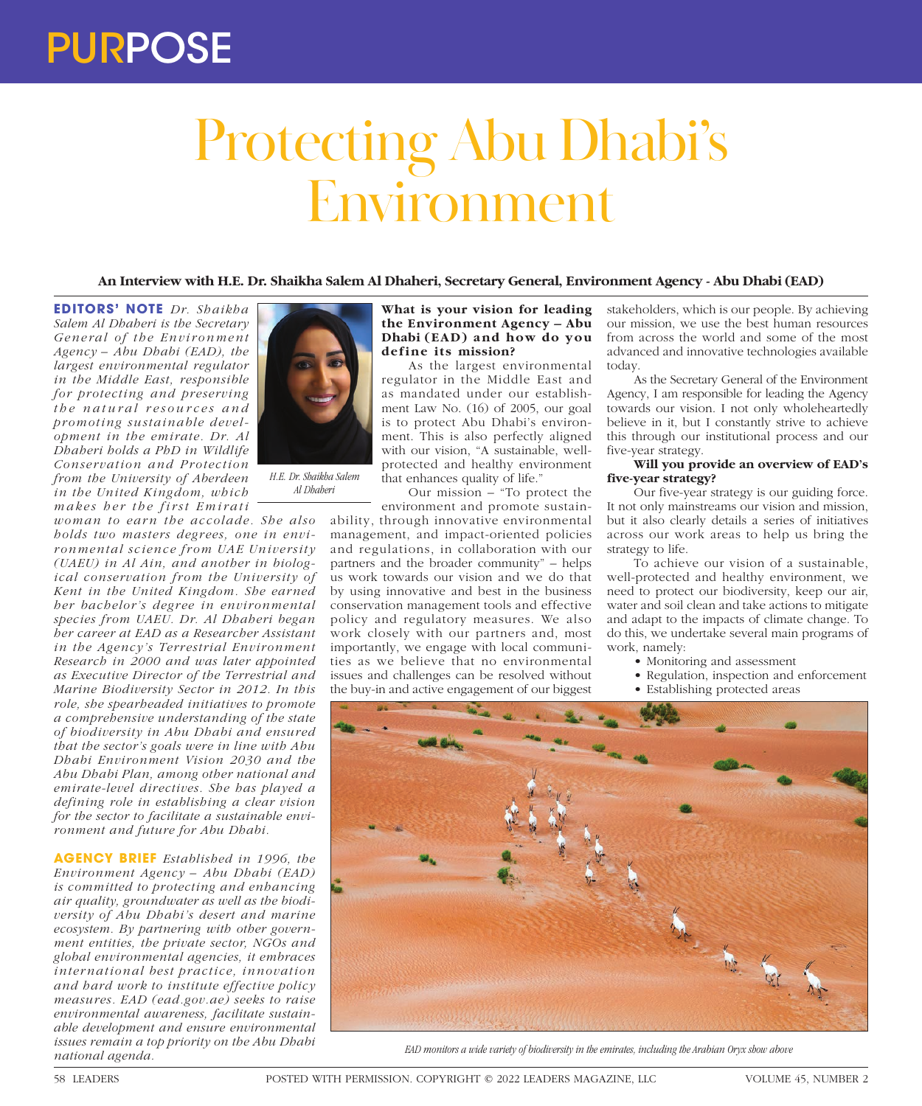## PURPOSE

# Protecting Abu Dhabi's Environment

### **An Interview with H.E. Dr. Shaikha Salem Al Dhaheri, Secretary General, Environment Agency - Abu Dhabi (EAD)**

**EDITORS' NOTE** *Dr. Shaikha Salem Al Dhaheri is the Secretary*  General of the Environment *Agency – Abu Dhabi (EAD), the largest environmental regulator in the Middle East, responsible for protecting and preserving t h e n a t u r a l r e s o u r c e s a n d promoting sustainable development in the emirate. Dr. Al Dhaheri holds a PhD in Wildlife Conservation and Protection from the University of Aberdeen in the United Kingdom, which makes her the first Emirati* 

*woman to earn the accolade. She also holds two masters degrees, one in environmental science from UAE University (UAEU) in Al Ain, and another in biological conservation from the University of Kent in the United Kingdom. She earned her bachelor's degree in environmental species from UAEU. Dr. Al Dhaheri began her career at EAD as a Researcher Assistant in the Agency's Terrestrial Environment Research in 2000 and was later appointed as Executive Director of the Terrestrial and Marine Biodiversity Sector in 2012. In this role, she spearheaded initiatives to promote a comprehensive understanding of the state of biodiversity in Abu Dhabi and ensured that the sector's goals were in line with Abu Dhabi Environment Vision 2030 and the Abu Dhabi Plan, among other national and emirate-level directives. She has played a defining role in establishing a clear vision for the sector to facilitate a sustainable environment and future for Abu Dhabi.* 

**AGENCY BRIEF** *Established in 1996, the Environment Agency – Abu Dhabi (EAD) is committed to protecting and enhancing air quality, groundwater as well as the biodiversity of Abu Dhabi's desert and marine ecosystem. By partnering with other government entities, the private sector, NGOs and global environmental agencies, it embraces inter national best practice, innovation and hard work to institute effective policy measures. EAD (ead.gov.ae) seeks to raise environmental awareness, facilitate sustainable development and ensure environmental issues remain a top priority on the Abu Dhabi national agenda.*



*H.E. Dr. Shaikha Salem Al Dhaheri*

**What is your vision for leading the Environment Agency – Abu Dhabi (EAD) and how do you define its mission?**

As the largest environmental regulator in the Middle East and as mandated under our establishment Law No. (16) of 2005, our goal is to protect Abu Dhabi's environment. This is also perfectly aligned with our vision, "A sustainable, wellprotected and healthy environment that enhances quality of life."

Our mission – "To protect the

environment and promote sustainability, through innovative environmental management, and impact-oriented policies and regulations, in collaboration with our partners and the broader community" – helps us work towards our vision and we do that by using innovative and best in the business conservation management tools and effective policy and regulatory measures. We also work closely with our partners and, most importantly, we engage with local communities as we believe that no environmental issues and challenges can be resolved without the buy-in and active engagement of our biggest

stakeholders, which is our people. By achieving our mission, we use the best human resources from across the world and some of the most advanced and innovative technologies available today.

As the Secretary General of the Environment Agency, I am responsible for leading the Agency towards our vision. I not only wholeheartedly believe in it, but I constantly strive to achieve this through our institutional process and our five-year strategy.

#### **Will you provide an overview of EAD's five-year strategy?**

Our five-year strategy is our guiding force. It not only mainstreams our vision and mission, but it also clearly details a series of initiatives across our work areas to help us bring the strategy to life.

To achieve our vision of a sustainable, well-protected and healthy environment, we need to protect our biodiversity, keep our air, water and soil clean and take actions to mitigate and adapt to the impacts of climate change. To do this, we undertake several main programs of work, namely:

- Monitoring and assessment
- Regulation, inspection and enforcement • Establishing protected areas



*EAD monitors a wide variety of biodiversity in the emirates, including the Arabian Oryx show above*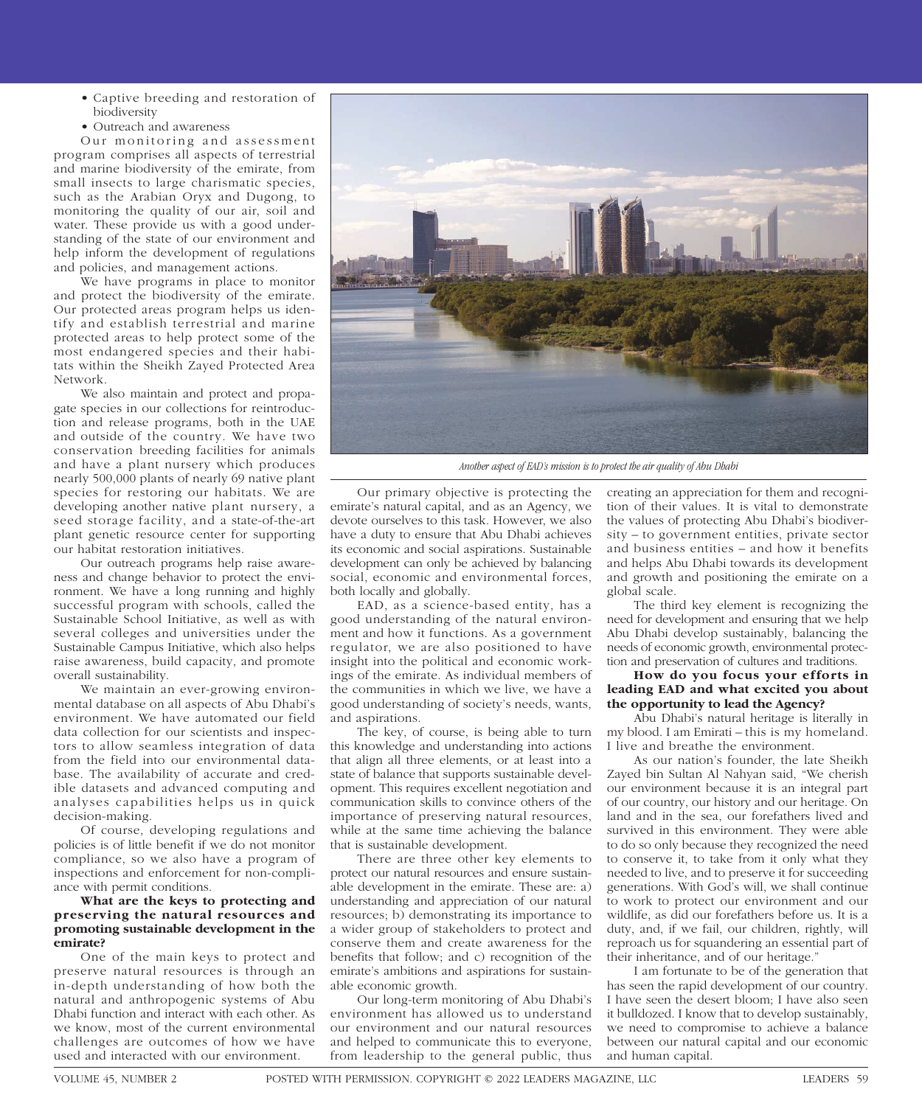- Captive breeding and restoration of biodiversity
- Outreach and awareness

Our monitoring and assessment program comprises all aspects of terrestrial and marine biodiversity of the emirate, from small insects to large charismatic species, such as the Arabian Oryx and Dugong, to monitoring the quality of our air, soil and water. These provide us with a good understanding of the state of our environment and help inform the development of regulations and policies, and management actions.

We have programs in place to monitor and protect the biodiversity of the emirate. Our protected areas program helps us identify and establish terrestrial and marine protected areas to help protect some of the most endangered species and their habitats within the Sheikh Zayed Protected Area Network.

We also maintain and protect and propagate species in our collections for reintroduction and release programs, both in the UAE and outside of the country. We have two conservation breeding facilities for animals and have a plant nursery which produces nearly 500,000 plants of nearly 69 native plant species for restoring our habitats. We are developing another native plant nursery, a seed storage facility, and a state-of-the-art plant genetic resource center for supporting our habitat restoration initiatives.

Our outreach programs help raise awareness and change behavior to protect the environment. We have a long running and highly successful program with schools, called the Sustainable School Initiative, as well as with several colleges and universities under the Sustainable Campus Initiative, which also helps raise awareness, build capacity, and promote overall sustainability.

We maintain an ever-growing environmental database on all aspects of Abu Dhabi's environment. We have automated our field data collection for our scientists and inspectors to allow seamless integration of data from the field into our environmental database. The availability of accurate and credible datasets and advanced computing and analyses capabilities helps us in quick decision-making.

Of course, developing regulations and policies is of little benefit if we do not monitor compliance, so we also have a program of inspections and enforcement for non-compliance with permit conditions.

#### **What are the keys to protecting and preserving the natural resources and promoting sustainable development in the emirate?**

One of the main keys to protect and preserve natural resources is through an in-depth understanding of how both the natural and anthropogenic systems of Abu Dhabi function and interact with each other. As we know, most of the current environmental challenges are outcomes of how we have used and interacted with our environment.



*Another aspect of EAD's mission is to protect the air quality of Abu Dhabi*

Our primary objective is protecting the emirate's natural capital, and as an Agency, we devote ourselves to this task. However, we also have a duty to ensure that Abu Dhabi achieves its economic and social aspirations. Sustainable development can only be achieved by balancing social, economic and environmental forces, both locally and globally.

EAD, as a science-based entity, has a good understanding of the natural environment and how it functions. As a government regulator, we are also positioned to have insight into the political and economic workings of the emirate. As individual members of the communities in which we live, we have a good understanding of society's needs, wants, and aspirations.

The key, of course, is being able to turn this knowledge and understanding into actions that align all three elements, or at least into a state of balance that supports sustainable development. This requires excellent negotiation and communication skills to convince others of the importance of preserving natural resources, while at the same time achieving the balance that is sustainable development.

There are three other key elements to protect our natural resources and ensure sustainable development in the emirate. These are: a) understanding and appreciation of our natural resources; b) demonstrating its importance to a wider group of stakeholders to protect and conserve them and create awareness for the benefits that follow; and c) recognition of the emirate's ambitions and aspirations for sustainable economic growth.

Our long-term monitoring of Abu Dhabi's environment has allowed us to understand our environment and our natural resources and helped to communicate this to everyone, from leadership to the general public, thus creating an appreciation for them and recognition of their values. It is vital to demonstrate the values of protecting Abu Dhabi's biodiversity – to government entities, private sector and business entities – and how it benefits and helps Abu Dhabi towards its development and growth and positioning the emirate on a global scale.

The third key element is recognizing the need for development and ensuring that we help Abu Dhabi develop sustainably, balancing the needs of economic growth, environmental protection and preservation of cultures and traditions.

#### **How do you focus your efforts in leading EAD and what excited you about the opportunity to lead the Agency?**

Abu Dhabi's natural heritage is literally in my blood. I am Emirati – this is my homeland. I live and breathe the environment.

As our nation's founder, the late Sheikh Zayed bin Sultan Al Nahyan said, "We cherish our environment because it is an integral part of our country, our history and our heritage. On land and in the sea, our forefathers lived and survived in this environment. They were able to do so only because they recognized the need to conserve it, to take from it only what they needed to live, and to preserve it for succeeding generations. With God's will, we shall continue to work to protect our environment and our wildlife, as did our forefathers before us. It is a duty, and, if we fail, our children, rightly, will reproach us for squandering an essential part of their inheritance, and of our heritage."

I am fortunate to be of the generation that has seen the rapid development of our country. I have seen the desert bloom; I have also seen it bulldozed. I know that to develop sustainably, we need to compromise to achieve a balance between our natural capital and our economic and human capital.